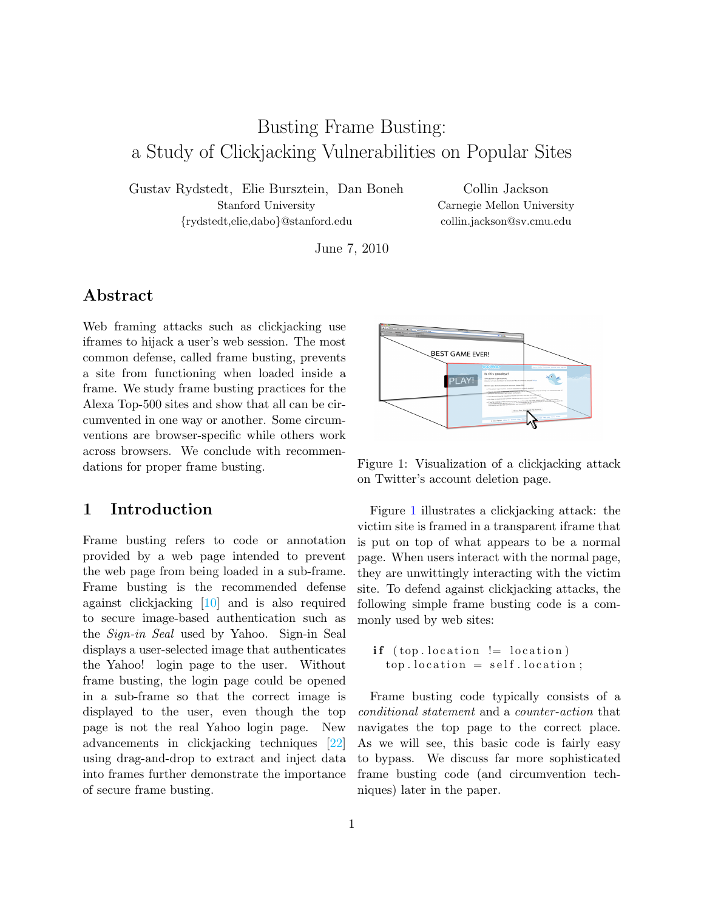# Busting Frame Busting: a Study of Clickjacking Vulnerabilities on Popular Sites

Gustav Rydstedt, Elie Bursztein, Dan Boneh Stanford University {rydstedt,elie,dabo}@stanford.edu

Collin Jackson Carnegie Mellon University collin.jackson@sv.cmu.edu

June 7, 2010

### Abstract

Web framing attacks such as clickjacking use iframes to hijack a user's web session. The most common defense, called frame busting, prevents a site from functioning when loaded inside a frame. We study frame busting practices for the Alexa Top-500 sites and show that all can be circumvented in one way or another. Some circumventions are browser-specific while others work across browsers. We conclude with recommendations for proper frame busting.

### 1 Introduction

Frame busting refers to code or annotation provided by a web page intended to prevent the web page from being loaded in a sub-frame. Frame busting is the recommended defense against clickjacking [\[10\]](#page-12-0) and is also required to secure image-based authentication such as the Sign-in Seal used by Yahoo. Sign-in Seal displays a user-selected image that authenticates the Yahoo! login page to the user. Without frame busting, the login page could be opened in a sub-frame so that the correct image is displayed to the user, even though the top page is not the real Yahoo login page. New advancements in clickjacking techniques [\[22\]](#page-12-1) using drag-and-drop to extract and inject data into frames further demonstrate the importance of secure frame busting.



<span id="page-0-0"></span>Figure 1: Visualization of a clickjacking attack on Twitter's account deletion page.

Figure [1](#page-0-0) illustrates a clickjacking attack: the victim site is framed in a transparent iframe that is put on top of what appears to be a normal page. When users interact with the normal page, they are unwittingly interacting with the victim site. To defend against clickjacking attacks, the following simple frame busting code is a commonly used by web sites:

```
if (top. location != location)top. location = self. location;
```
Frame busting code typically consists of a conditional statement and a counter-action that navigates the top page to the correct place. As we will see, this basic code is fairly easy to bypass. We discuss far more sophisticated frame busting code (and circumvention techniques) later in the paper.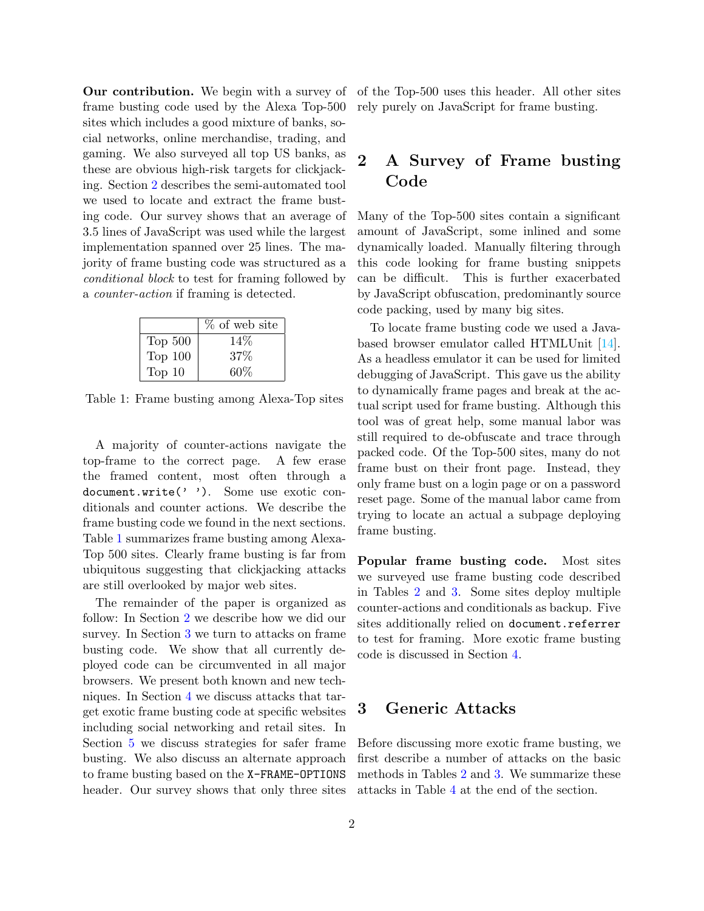Our contribution. We begin with a survey of frame busting code used by the Alexa Top-500 sites which includes a good mixture of banks, social networks, online merchandise, trading, and gaming. We also surveyed all top US banks, as these are obvious high-risk targets for clickjacking. Section [2](#page-1-0) describes the semi-automated tool we used to locate and extract the frame busting code. Our survey shows that an average of 3.5 lines of JavaScript was used while the largest implementation spanned over 25 lines. The majority of frame busting code was structured as a conditional block to test for framing followed by a counter-action if framing is detected.

|           | % of web site |
|-----------|---------------|
| Top 500   | 14\%          |
| Top $100$ | $37\%$        |
| Top $10$  | $60\%$        |

Table 1: Frame busting among Alexa-Top sites

A majority of counter-actions navigate the top-frame to the correct page. A few erase the framed content, most often through a document.write(' '). Some use exotic conditionals and counter actions. We describe the frame busting code we found in the next sections. Table [1](#page-0-1) summarizes frame busting among Alexa-Top 500 sites. Clearly frame busting is far from ubiquitous suggesting that clickjacking attacks are still overlooked by major web sites.

The remainder of the paper is organized as follow: In Section [2](#page-1-0) we describe how we did our survey. In Section [3](#page-1-1) we turn to attacks on frame busting code. We show that all currently deployed code can be circumvented in all major browsers. We present both known and new techniques. In Section [4](#page-7-0) we discuss attacks that target exotic frame busting code at specific websites including social networking and retail sites. In Section [5](#page-9-0) we discuss strategies for safer frame busting. We also discuss an alternate approach to frame busting based on the X-FRAME-OPTIONS header. Our survey shows that only three sites

of the Top-500 uses this header. All other sites rely purely on JavaScript for frame busting.

## <span id="page-1-0"></span>2 A Survey of Frame busting Code

Many of the Top-500 sites contain a significant amount of JavaScript, some inlined and some dynamically loaded. Manually filtering through this code looking for frame busting snippets can be difficult. This is further exacerbated by JavaScript obfuscation, predominantly source code packing, used by many big sites.

To locate frame busting code we used a Javabased browser emulator called HTMLUnit [\[14\]](#page-12-2). As a headless emulator it can be used for limited debugging of JavaScript. This gave us the ability to dynamically frame pages and break at the actual script used for frame busting. Although this tool was of great help, some manual labor was still required to de-obfuscate and trace through packed code. Of the Top-500 sites, many do not frame bust on their front page. Instead, they only frame bust on a login page or on a password reset page. Some of the manual labor came from trying to locate an actual a subpage deploying frame busting.

Popular frame busting code. Most sites we surveyed use frame busting code described in Tables [2](#page-2-0) and [3.](#page-2-1) Some sites deploy multiple counter-actions and conditionals as backup. Five sites additionally relied on document.referrer to test for framing. More exotic frame busting code is discussed in Section [4.](#page-7-0)

### <span id="page-1-1"></span>3 Generic Attacks

Before discussing more exotic frame busting, we first describe a number of attacks on the basic methods in Tables [2](#page-2-0) and [3.](#page-2-1) We summarize these attacks in Table [4](#page-6-0) at the end of the section.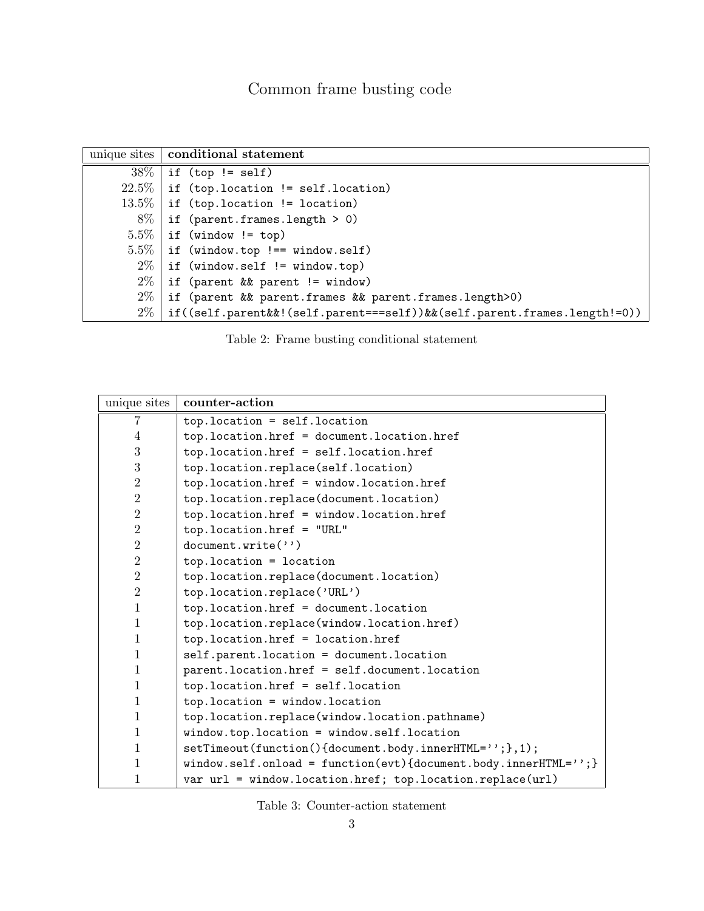|          | unique sites   conditional statement                                     |
|----------|--------------------------------------------------------------------------|
| $38\%$   | if (top != self)                                                         |
| $22.5\%$ | if (top.location != self.location)                                       |
| $13.5\%$ | if (top.location != location)                                            |
| 8%       | if $(parent.frames.length > 0)$                                          |
| $5.5\%$  | if (window != top)                                                       |
| $5.5\%$  | $\vert$ if (window.top !== window.self)                                  |
| $2\%$    | if (window.self != window.top)                                           |
| $2\%$    | if (parent && parent != window)                                          |
| $2\%$    | if (parent && parent.frames && parent.frames.length>0)                   |
| $2\%$    | if((self.parent&&!(self.parent===self))&&(self.parent.frames.length!=0)) |

<span id="page-2-0"></span>Table 2: Frame busting conditional statement

| unique sites   | counter-action                                                   |
|----------------|------------------------------------------------------------------|
| 7              | $top. location = self. location$                                 |
| 4              | top.location.href = document.location.href                       |
| 3              | top.location.href = self.location.href                           |
| 3              | top.location.replace(self.location)                              |
| $\overline{2}$ | top.location.href = window.location.href                         |
| $\overline{2}$ | top.location.replace(document.location)                          |
| $\overline{2}$ | top.location.href = window.location.href                         |
| $\overline{2}$ | $top.location.href = "URL"$                                      |
| $\overline{2}$ | document.write('')                                               |
| $\overline{2}$ | $top. location = location$                                       |
| $\overline{2}$ | top.location.replace(document.location)                          |
| $\overline{2}$ | top.location.replace('URL')                                      |
| 1              | top.location.href = document.location                            |
| $\mathbf{1}$   | top.location.replace(window.location.href)                       |
| 1              | top.location.href = location.href                                |
| $\mathbf{1}$   | self.parent.location = document.location                         |
| 1              | parent.location.href = self.document.location                    |
| 1              | top.location.href = self.location                                |
| 1              | $top. location = window. location$                               |
| 1              | top.location.replace(window.location.pathname)                   |
| 1              | $window.top.location = window.self.location$                     |
| 1              | setTimeout(function(){document.body.innerHTML=''; }, 1);         |
| 1              | window.self.onload = function(evt){document.body.innerHTML=''; } |
| 1              | var url = window.location.href; top.location.replace(url)        |

<span id="page-2-1"></span>Table 3: Counter-action statement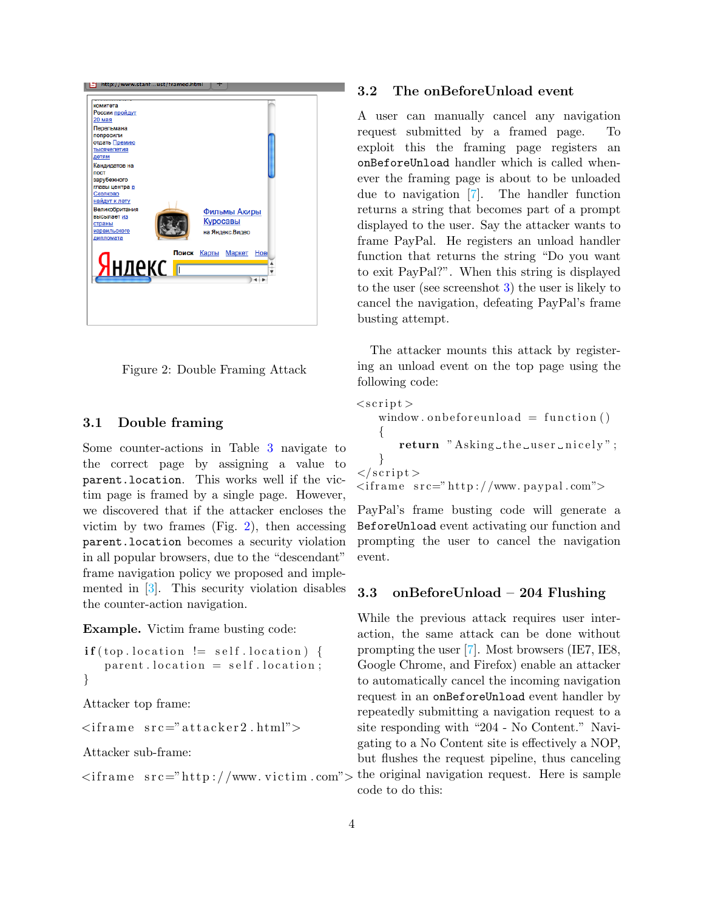

Figure 2: Double Framing Attack

#### <span id="page-3-0"></span>3.1 Double framing

Some counter-actions in Table [3](#page-2-1) navigate to the correct page by assigning a value to parent.location. This works well if the victim page is framed by a single page. However, we discovered that if the attacker encloses the victim by two frames (Fig. [2\)](#page-3-0), then accessing parent.location becomes a security violation in all popular browsers, due to the "descendant" frame navigation policy we proposed and implemented in [\[3\]](#page-11-0). This security violation disables the counter-action navigation.

Example. Victim frame busting code:

```
\textbf{if}({\rm top\text{-}location}!=\text{self\text{-}location}) {
    parent. location = self. location;}
```
Attacker top frame:

 $\langle$ iframe  $src=" \text{attacker2.html} \rangle$ 

Attacker sub-frame:

```
\langleiframe src="http://www.victim.com">
```
#### 3.2 The onBeforeUnload event

A user can manually cancel any navigation request submitted by a framed page. To exploit this the framing page registers an onBeforeUnload handler which is called whenever the framing page is about to be unloaded due to navigation [\[7\]](#page-12-3). The handler function returns a string that becomes part of a prompt displayed to the user. Say the attacker wants to frame PayPal. He registers an unload handler function that returns the string "Do you want to exit PayPal?". When this string is displayed to the user (see screenshot [3\)](#page-4-0) the user is likely to cancel the navigation, defeating PayPal's frame busting attempt.

The attacker mounts this attack by registering an unload event on the top page using the following code:

```
\langle \text{script} \ranglewindow . on before unload = function (){
        return " Asking the user \text{incely}";
    }
\langle script >\langleiframe src="http://www.paypal.com">
```
PayPal's frame busting code will generate a BeforeUnload event activating our function and prompting the user to cancel the navigation event.

#### 3.3 onBeforeUnload – 204 Flushing

While the previous attack requires user interaction, the same attack can be done without prompting the user [\[7\]](#page-12-3). Most browsers (IE7, IE8, Google Chrome, and Firefox) enable an attacker to automatically cancel the incoming navigation request in an onBeforeUnload event handler by repeatedly submitting a navigation request to a site responding with "204 - No Content." Navigating to a No Content site is effectively a NOP, but flushes the request pipeline, thus canceling the original navigation request. Here is sample code to do this: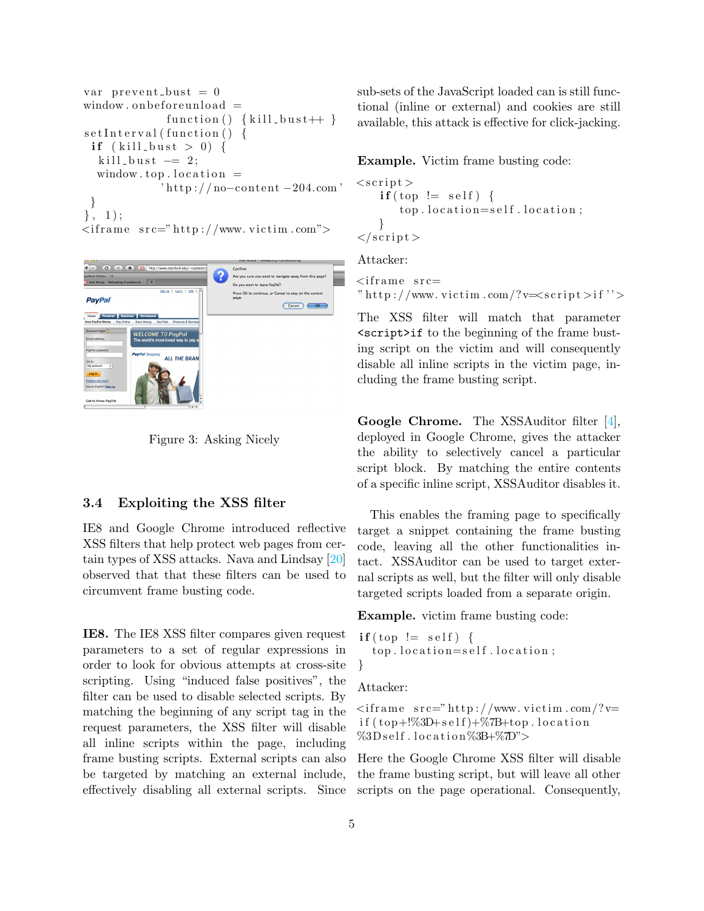```
var prevent_bust = 0window. on before un load =function () \{ \text{kill_bust++} \}setInterval(function() \{if (kill_bust > 0) {
  kill_bust -2;
  window top. location =
             'http://no−content −204.com
 }
\}, 1);
\langleiframe src="http://www.victim.com">
```


Figure 3: Asking Nicely

#### <span id="page-4-0"></span>3.4 Exploiting the XSS filter

IE8 and Google Chrome introduced reflective XSS filters that help protect web pages from certain types of XSS attacks. Nava and Lindsay [\[20\]](#page-12-4) observed that that these filters can be used to circumvent frame busting code.

IE8. The IE8 XSS filter compares given request parameters to a set of regular expressions in order to look for obvious attempts at cross-site scripting. Using "induced false positives", the filter can be used to disable selected scripts. By matching the beginning of any script tag in the request parameters, the XSS filter will disable all inline scripts within the page, including frame busting scripts. External scripts can also be targeted by matching an external include, effectively disabling all external scripts. Since sub-sets of the JavaScript loaded can is still functional (inline or external) and cookies are still available, this attack is effective for click-jacking.

Example. Victim frame busting code:

```
<s c r i p t >if (top != self)top. location=self. location;
    }
\langle script >
```
Attacker:

 $\langle$ iframe src $=$ " http://www.victim.com/?v= $\langle \text{script} \rangle$ 

The XSS filter will match that parameter <script>if to the beginning of the frame busting script on the victim and will consequently disable all inline scripts in the victim page, including the frame busting script.

Google Chrome. The XSSAuditor filter [\[4\]](#page-11-1), deployed in Google Chrome, gives the attacker the ability to selectively cancel a particular script block. By matching the entire contents of a specific inline script, XSSAuditor disables it.

This enables the framing page to specifically target a snippet containing the frame busting code, leaving all the other functionalities intact. XSSAuditor can be used to target external scripts as well, but the filter will only disable targeted scripts loaded from a separate origin.

Example. victim frame busting code:

```
if (top != self)top. location=self. location;
}
```
Attacker:

 $\langle$ iframe src=" http://www.victim.com/?v= if  $(\text{top}+\%3D+\text{self})+\%7B+\text{top}$ . location  $\%3D\text{self}$ . location  $\%3B+\%2D$ ">

Here the Google Chrome XSS filter will disable the frame busting script, but will leave all other scripts on the page operational. Consequently,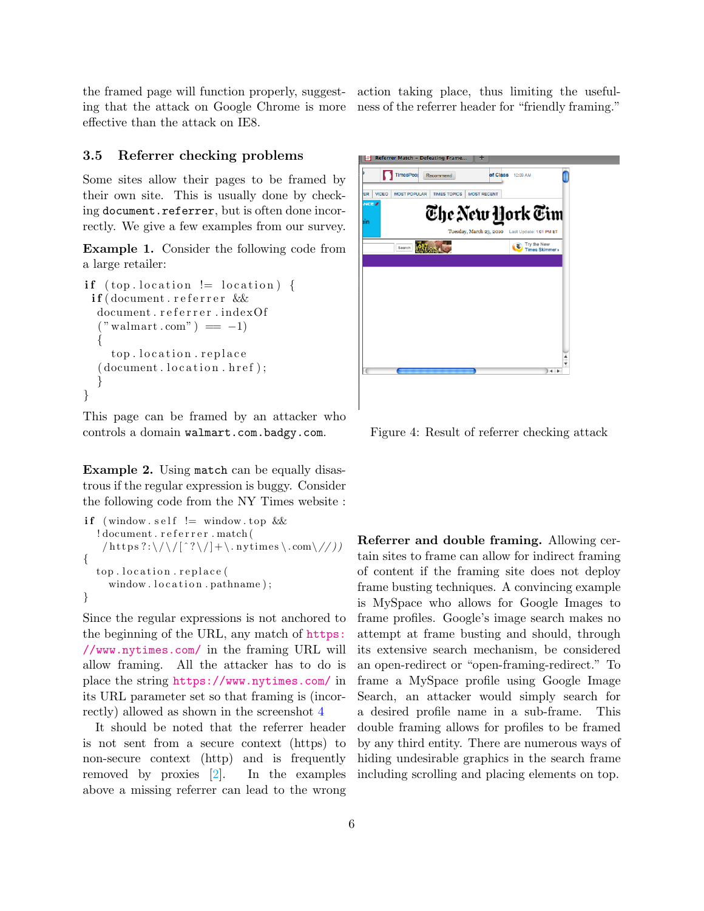the framed page will function properly, suggesting that the attack on Google Chrome is more effective than the attack on IE8.

action taking place, thus limiting the usefulness of the referrer header for "friendly framing."

#### 3.5 Referrer checking problems

Some sites allow their pages to be framed by their own site. This is usually done by checking document.referrer, but is often done incorrectly. We give a few examples from our survey.

Example 1. Consider the following code from a large retailer:

```
if (top. location != location) {
 if (document. referer \&document.referrer.indexOf
  ("wallmart.com") == -1){
    top. location.replace
  (document. location. href);}
}
```
This page can be framed by an attacker who controls a domain walmart.com.badgy.com.

Example 2. Using match can be equally disastrous if the regular expression is buggy. Consider the following code from the NY Times website :

```
if (window \text{self} := \text{window} \cdot \text{top} &&
  ! document. referrer. match (
    /\text{https ?:}\ \//\^?\\ \}/.nytimes\.com\//))
{
  top. location.replace (
     window . location . pathname);
}
```
Since the regular expressions is not anchored to the beginning of the URL, any match of [https:](https://www.nytimes.com/) [//www.nytimes.com/](https://www.nytimes.com/) in the framing URL will allow framing. All the attacker has to do is place the string <https://www.nytimes.com/> in its URL parameter set so that framing is (incorrectly) allowed as shown in the screenshot [4](#page-5-0)

It should be noted that the referrer header is not sent from a secure context (https) to non-secure context (http) and is frequently removed by proxies [\[2\]](#page-11-2). In the examples above a missing referrer can lead to the wrong



Figure 4: Result of referrer checking attack

<span id="page-5-0"></span>Referrer and double framing. Allowing certain sites to frame can allow for indirect framing of content if the framing site does not deploy frame busting techniques. A convincing example is MySpace who allows for Google Images to frame profiles. Google's image search makes no attempt at frame busting and should, through its extensive search mechanism, be considered an open-redirect or "open-framing-redirect." To frame a MySpace profile using Google Image Search, an attacker would simply search for a desired profile name in a sub-frame. This double framing allows for profiles to be framed by any third entity. There are numerous ways of hiding undesirable graphics in the search frame including scrolling and placing elements on top.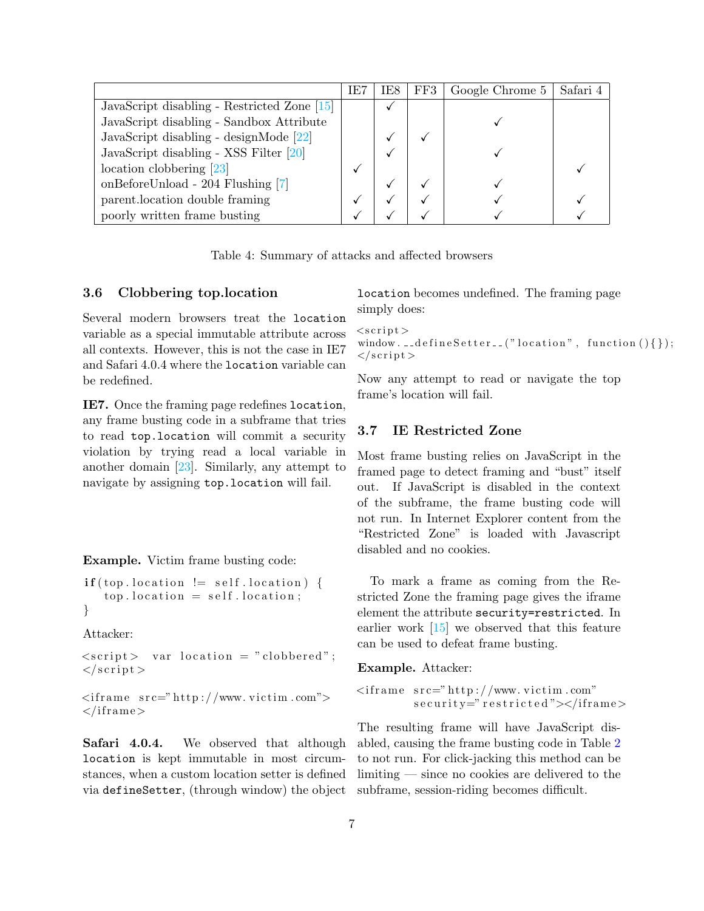|                                               | IE7 | IE8 | FF3 | Google Chrome 5 | Safari 4 |
|-----------------------------------------------|-----|-----|-----|-----------------|----------|
| JavaScript disabling - Restricted Zone $[15]$ |     |     |     |                 |          |
| JavaScript disabling - Sandbox Attribute      |     |     |     |                 |          |
| JavaScript disabling - designMode [22]        |     |     |     |                 |          |
| JavaScript disabling - XSS Filter [20]        |     |     |     |                 |          |
| $location$ clobbering $[23]$                  |     |     |     |                 |          |
| onBeforeUnload - 204 Flushing [7]             |     |     |     |                 |          |
| parent.location double framing                |     |     |     |                 |          |
| poorly written frame busting                  |     |     |     |                 |          |

<span id="page-6-0"></span>Table 4: Summary of attacks and affected browsers

#### 3.6 Clobbering top.location

Several modern browsers treat the location variable as a special immutable attribute across all contexts. However, this is not the case in IE7 and Safari 4.0.4 where the location variable can be redefined.

IE7. Once the framing page redefines location, any frame busting code in a subframe that tries to read top.location will commit a security violation by trying read a local variable in another domain [\[23\]](#page-12-6). Similarly, any attempt to navigate by assigning top.location will fail.

Example. Victim frame busting code:

```
\textbf{if} ( top . location != self . location ) {
   top. location = self. location;
}
```
Attacker:

 $\langle \text{script} \rangle$  var location = "clobbered";  $\langle$  script >

 $\langle$ iframe src="http://www.victim.com">  $\langle$ iframe>

Safari 4.0.4. We observed that although location is kept immutable in most circumstances, when a custom location setter is defined via defineSetter, (through window) the object location becomes undefined. The framing page simply does:

```
<s cript>window. \text{-defineSetter\_}("location", function(){} {\});
\langle script >
```
Now any attempt to read or navigate the top frame's location will fail.

#### 3.7 IE Restricted Zone

Most frame busting relies on JavaScript in the framed page to detect framing and "bust" itself out. If JavaScript is disabled in the context of the subframe, the frame busting code will not run. In Internet Explorer content from the "Restricted Zone" is loaded with Javascript disabled and no cookies.

To mark a frame as coming from the Restricted Zone the framing page gives the iframe element the attribute security=restricted. In earlier work [\[15\]](#page-12-5) we observed that this feature can be used to defeat frame busting.

Example. Attacker:

```
\langleiframe src="http://www.victim.com"
         security="restricted"></iframe>
```
The resulting frame will have JavaScript disabled, causing the frame busting code in Table [2](#page-2-0) to not run. For click-jacking this method can be limiting — since no cookies are delivered to the subframe, session-riding becomes difficult.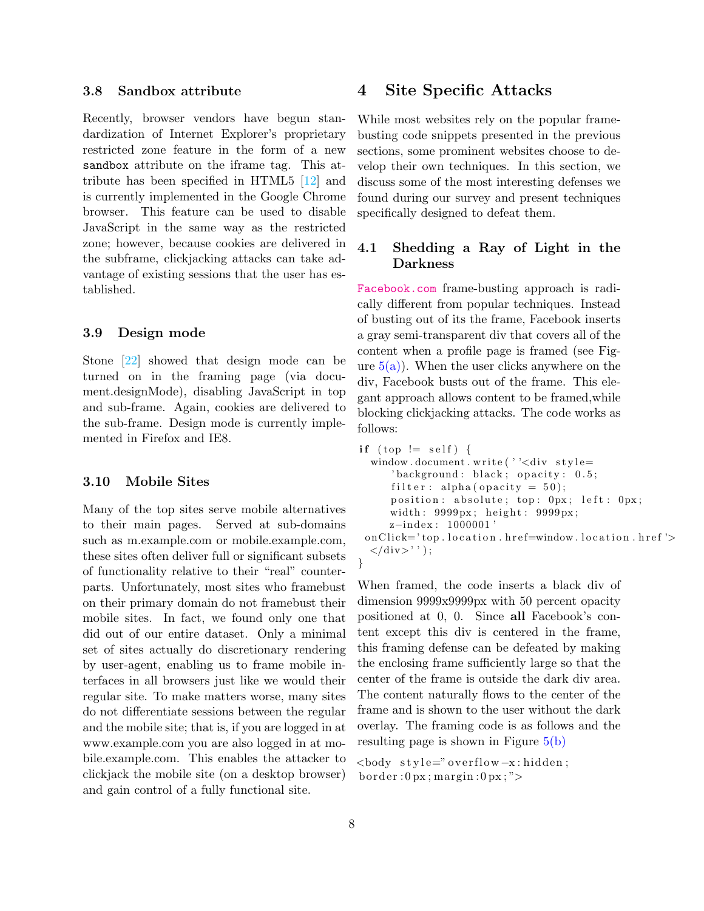#### 3.8 Sandbox attribute

Recently, browser vendors have begun standardization of Internet Explorer's proprietary restricted zone feature in the form of a new sandbox attribute on the iframe tag. This attribute has been specified in HTML5 [\[12\]](#page-12-7) and is currently implemented in the Google Chrome browser. This feature can be used to disable JavaScript in the same way as the restricted zone; however, because cookies are delivered in the subframe, clickjacking attacks can take advantage of existing sessions that the user has established.

#### 3.9 Design mode

Stone [\[22\]](#page-12-1) showed that design mode can be turned on in the framing page (via document.designMode), disabling JavaScript in top and sub-frame. Again, cookies are delivered to the sub-frame. Design mode is currently implemented in Firefox and IE8.

#### 3.10 Mobile Sites

Many of the top sites serve mobile alternatives to their main pages. Served at sub-domains such as m.example.com or mobile.example.com, these sites often deliver full or significant subsets of functionality relative to their "real" counterparts. Unfortunately, most sites who framebust on their primary domain do not framebust their mobile sites. In fact, we found only one that did out of our entire dataset. Only a minimal set of sites actually do discretionary rendering by user-agent, enabling us to frame mobile interfaces in all browsers just like we would their regular site. To make matters worse, many sites do not differentiate sessions between the regular and the mobile site; that is, if you are logged in at www.example.com you are also logged in at mobile.example.com. This enables the attacker to clickjack the mobile site (on a desktop browser) and gain control of a fully functional site.

### <span id="page-7-0"></span>4 Site Specific Attacks

While most websites rely on the popular framebusting code snippets presented in the previous sections, some prominent websites choose to develop their own techniques. In this section, we discuss some of the most interesting defenses we found during our survey and present techniques specifically designed to defeat them.

#### 4.1 Shedding a Ray of Light in the Darkness

<Facebook.com> frame-busting approach is radically different from popular techniques. Instead of busting out of its the frame, Facebook inserts a gray semi-transparent div that covers all of the content when a profile page is framed (see Figure  $5(a)$ ). When the user clicks anywhere on the div, Facebook busts out of the frame. This elegant approach allows content to be framed,while blocking clickjacking attacks. The code works as follows:

```
if (top != self) {
  window.document.write(''<div style=
     'background: black; opacity: 0.5;filter : alpha ( opacity = 50 );
     position: absolute; top: 0px; left: 0px;
     width: 9999px; height: 9999px;
     z-index: 1000001'
 on Click='top. location. href=window. location. href'\langle/div>'' );
}
```
When framed, the code inserts a black div of dimension 9999x9999px with 50 percent opacity positioned at 0, 0. Since all Facebook's content except this div is centered in the frame, this framing defense can be defeated by making the enclosing frame sufficiently large so that the center of the frame is outside the dark div area. The content naturally flows to the center of the frame and is shown to the user without the dark overlay. The framing code is as follows and the resulting page is shown in Figure [5\(b\)](#page-8-1)

```
<body s t y l e=" o v e r fl ow−x : hidden ;
border:0px; margin:0px;
```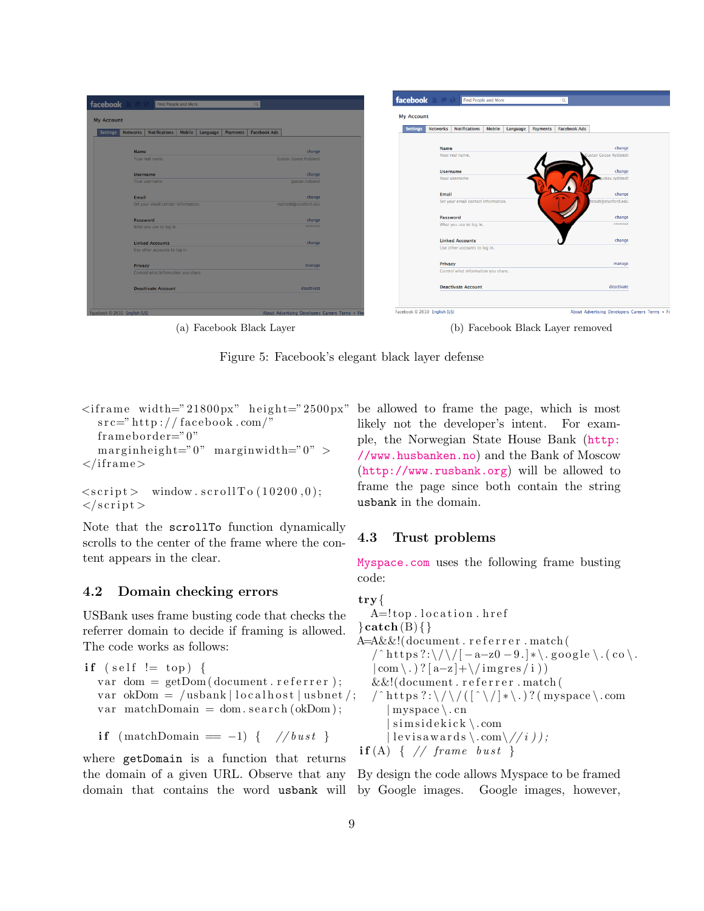<span id="page-8-0"></span>

| <b>My Account</b>                                            |                              |                                                                                 |                       |
|--------------------------------------------------------------|------------------------------|---------------------------------------------------------------------------------|-----------------------|
| Networks Notifications Mobile Language Payments Facebook Ads |                              | Networks Notifications Mobile Language Payments Facebook Ads<br><b>Settings</b> |                       |
| <b>Name</b>                                                  | change                       | <b>Name</b>                                                                     | change                |
| Your real name.                                              | <b>Gustav Goose Rydstedt</b> | Your real name.                                                                 | Gustav Goose Rydstedt |
| <b>Username</b>                                              | change                       | <b>Username</b>                                                                 | change                |
| Your username                                                | gustav.rydstedt              | Your username                                                                   | ustav.rydstedt        |
| Email                                                        | change                       | Email                                                                           | change                |
| Set your email contact information.                          | rydstedt@stanford.edu        | Set your email contact information.                                             | dstedt@stanford.edu   |
| Password                                                     | change                       | Password                                                                        | change                |
| What you use to log in.                                      | <b>SERREREE</b>              | What you use to log in.                                                         | ********              |
| <b>Linked Accounts</b>                                       | change                       | <b>Linked Accounts</b>                                                          | change                |
| Use other accounts to log in.                                |                              | Use other accounts to log in.                                                   |                       |
| Privacy                                                      | manage                       | Privacy                                                                         | manage                |
| Control what information you share.                          |                              | Control what information you share.                                             |                       |
| <b>Deactivate Account</b>                                    | deactivate                   | <b>Deactivate Account</b>                                                       | deactivate            |

(a) Facebook Black Layer (b) Facebook Black Layer removed

Figure 5: Facebook's elegant black layer defense

```
\langleiframe width="21800px" height="2500px" be allowed to frame the page, which is most
  src=" http://facebook.com/"frame border="0"margin height="0" marginwidth="0" >\langleiframe\rangle
```

```
\langle \text{script} \rangle window.scrollTo (10200,0);
\langle script >
```
Note that the scrollTo function dynamically scrolls to the center of the frame where the content appears in the clear.

#### 4.2 Domain checking errors

USBank uses frame busting code that checks the referrer domain to decide if framing is allowed. The code works as follows:

if (self != top) { var dom =  $getDom(document. referrer);$ var okDom = /usbank | localhost | usbnet /; var matchDomain = dom. se $\arch(\alpha kDom);$ 

$$
if (matchDomain == -1) { // }{bust }
$$

where getDomain is a function that returns the domain of a given URL. Observe that any <span id="page-8-1"></span>likely not the developer's intent. For example, the Norwegian State House Bank ([http:](http://www.husbanken.no) [//www.husbanken.no](http://www.husbanken.no)) and the Bank of Moscow (<http://www.rusbank.org>) will be allowed to frame the page since both contain the string usbank in the domain.

### 4.3 Trust problems

<Myspace.com> uses the following frame busting code:

```
try{
   A=!top.location.href
\}catch (B) { }
A=A&&!(document.referrer.match)
   \int^{\infty} https ?:\/\/[-a-z0-9.]*\.google\.(co\.
   | \text{com} \setminus .) ? [ \text{a-z}] + \setminus / \text{images}/i )&\&!(document.referrer.match(
   / \hat{\ } https ?:\/\/(\hat{[} \hat{\ } \rangle)?(myspace\.com
       myspace \, \backslash \, cnsim side kick \.com
      | levis awards \.com\//i ) );
\textbf{if (A)} \{ // frame \text{ } burst \}
```
domain that contains the word usbank will by Google images. Google images, however, By design the code allows Myspace to be framed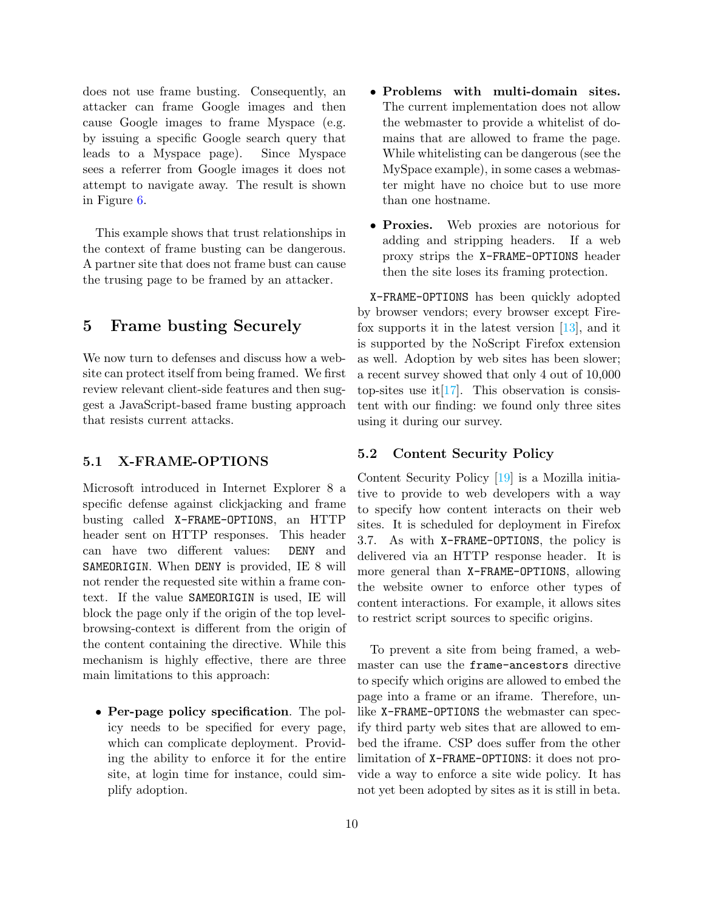does not use frame busting. Consequently, an attacker can frame Google images and then cause Google images to frame Myspace (e.g. by issuing a specific Google search query that leads to a Myspace page). Since Myspace sees a referrer from Google images it does not attempt to navigate away. The result is shown in Figure [6.](#page-11-3)

This example shows that trust relationships in the context of frame busting can be dangerous. A partner site that does not frame bust can cause the trusing page to be framed by an attacker.

### <span id="page-9-0"></span>5 Frame busting Securely

We now turn to defenses and discuss how a website can protect itself from being framed. We first review relevant client-side features and then suggest a JavaScript-based frame busting approach that resists current attacks.

#### 5.1 X-FRAME-OPTIONS

Microsoft introduced in Internet Explorer 8 a specific defense against clickjacking and frame busting called X-FRAME-OPTIONS, an HTTP header sent on HTTP responses. This header can have two different values: DENY and SAMEORIGIN. When DENY is provided, IE 8 will not render the requested site within a frame context. If the value SAMEORIGIN is used, IE will block the page only if the origin of the top levelbrowsing-context is different from the origin of the content containing the directive. While this mechanism is highly effective, there are three main limitations to this approach:

• Per-page policy specification. The policy needs to be specified for every page, which can complicate deployment. Providing the ability to enforce it for the entire site, at login time for instance, could simplify adoption.

- Problems with multi-domain sites. The current implementation does not allow the webmaster to provide a whitelist of domains that are allowed to frame the page. While whitelisting can be dangerous (see the MySpace example), in some cases a webmaster might have no choice but to use more than one hostname.
- Proxies. Web proxies are notorious for adding and stripping headers. If a web proxy strips the X-FRAME-OPTIONS header then the site loses its framing protection.

X-FRAME-OPTIONS has been quickly adopted by browser vendors; every browser except Firefox supports it in the latest version [\[13\]](#page-12-8), and it is supported by the NoScript Firefox extension as well. Adoption by web sites has been slower; a recent survey showed that only 4 out of 10,000 top-sites use it  $[17]$ . This observation is consistent with our finding: we found only three sites using it during our survey.

#### 5.2 Content Security Policy

Content Security Policy [\[19\]](#page-12-10) is a Mozilla initiative to provide to web developers with a way to specify how content interacts on their web sites. It is scheduled for deployment in Firefox 3.7. As with X-FRAME-OPTIONS, the policy is delivered via an HTTP response header. It is more general than X-FRAME-OPTIONS, allowing the website owner to enforce other types of content interactions. For example, it allows sites to restrict script sources to specific origins.

To prevent a site from being framed, a webmaster can use the frame-ancestors directive to specify which origins are allowed to embed the page into a frame or an iframe. Therefore, unlike X-FRAME-OPTIONS the webmaster can specify third party web sites that are allowed to embed the iframe. CSP does suffer from the other limitation of X-FRAME-OPTIONS: it does not provide a way to enforce a site wide policy. It has not yet been adopted by sites as it is still in beta.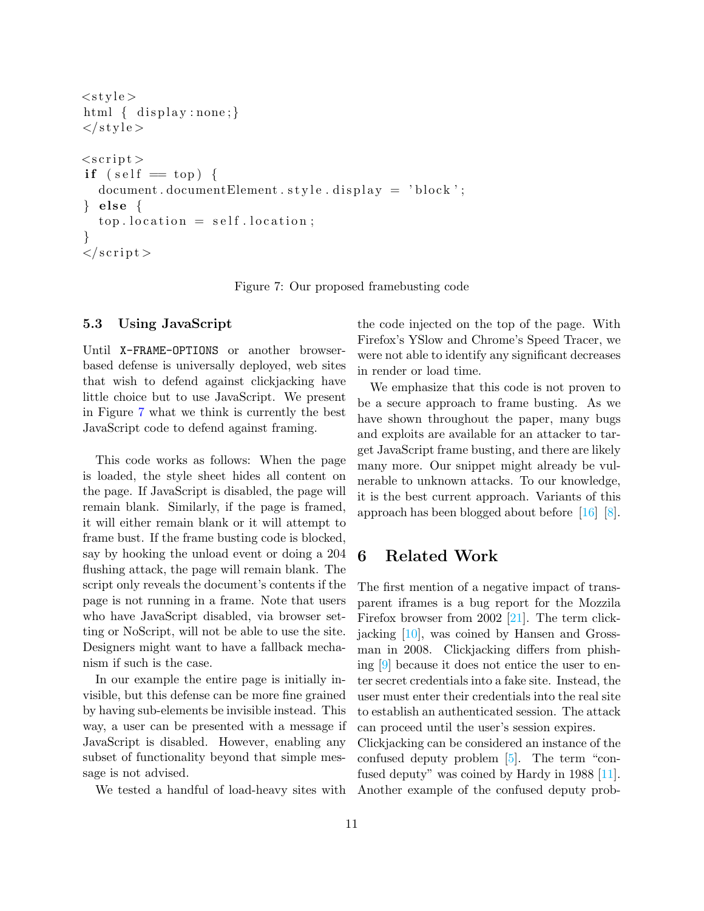```
<style >html \{ display : none; \}\langle style >
\langle \text{script} \rangleif (self = top) {
  document.documentElement. style. display = 'block';\} else {
   top. location = self. location;
}
\langle script >
```
<span id="page-10-0"></span>Figure 7: Our proposed framebusting code

#### 5.3 Using JavaScript

Until X-FRAME-OPTIONS or another browserbased defense is universally deployed, web sites that wish to defend against clickjacking have little choice but to use JavaScript. We present in Figure [7](#page-10-0) what we think is currently the best JavaScript code to defend against framing.

This code works as follows: When the page is loaded, the style sheet hides all content on the page. If JavaScript is disabled, the page will remain blank. Similarly, if the page is framed, it will either remain blank or it will attempt to frame bust. If the frame busting code is blocked, say by hooking the unload event or doing a 204 flushing attack, the page will remain blank. The script only reveals the document's contents if the page is not running in a frame. Note that users who have JavaScript disabled, via browser setting or NoScript, will not be able to use the site. Designers might want to have a fallback mechanism if such is the case.

In our example the entire page is initially invisible, but this defense can be more fine grained by having sub-elements be invisible instead. This way, a user can be presented with a message if JavaScript is disabled. However, enabling any subset of functionality beyond that simple message is not advised.

We tested a handful of load-heavy sites with

the code injected on the top of the page. With Firefox's YSlow and Chrome's Speed Tracer, we were not able to identify any significant decreases in render or load time.

We emphasize that this code is not proven to be a secure approach to frame busting. As we have shown throughout the paper, many bugs and exploits are available for an attacker to target JavaScript frame busting, and there are likely many more. Our snippet might already be vulnerable to unknown attacks. To our knowledge, it is the best current approach. Variants of this approach has been blogged about before [\[16\]](#page-12-11) [\[8\]](#page-12-12).

### 6 Related Work

The first mention of a negative impact of transparent iframes is a bug report for the Mozzila Firefox browser from 2002 [\[21\]](#page-12-13). The term clickjacking [\[10\]](#page-12-0), was coined by Hansen and Grossman in 2008. Clickjacking differs from phishing [\[9\]](#page-12-14) because it does not entice the user to enter secret credentials into a fake site. Instead, the user must enter their credentials into the real site to establish an authenticated session. The attack can proceed until the user's session expires. Clickjacking can be considered an instance of the confused deputy problem [\[5\]](#page-11-4). The term "confused deputy" was coined by Hardy in 1988 [\[11\]](#page-12-15). Another example of the confused deputy prob-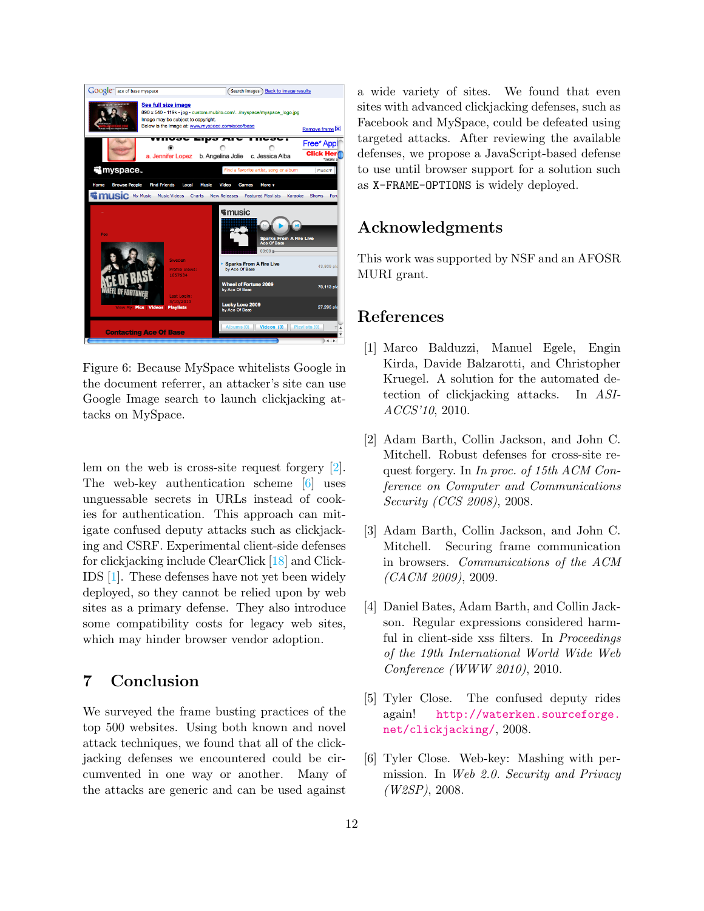

Figure 6: Because MySpace whitelists Google in the document referrer, an attacker's site can use Google Image search to launch clickjacking attacks on MySpace.

<span id="page-11-3"></span>lem on the web is cross-site request forgery [\[2\]](#page-11-2). The web-key authentication scheme [\[6\]](#page-11-5) uses unguessable secrets in URLs instead of cookies for authentication. This approach can mitigate confused deputy attacks such as clickjacking and CSRF. Experimental client-side defenses for clickjacking include ClearClick [\[18\]](#page-12-16) and Click-IDS [\[1\]](#page-11-6). These defenses have not yet been widely deployed, so they cannot be relied upon by web sites as a primary defense. They also introduce some compatibility costs for legacy web sites, which may hinder browser vendor adoption.

### 7 Conclusion

We surveyed the frame busting practices of the top 500 websites. Using both known and novel attack techniques, we found that all of the clickjacking defenses we encountered could be circumvented in one way or another. Many of the attacks are generic and can be used against

a wide variety of sites. We found that even sites with advanced clickjacking defenses, such as Facebook and MySpace, could be defeated using targeted attacks. After reviewing the available defenses, we propose a JavaScript-based defense to use until browser support for a solution such as X-FRAME-OPTIONS is widely deployed.

### Acknowledgments

This work was supported by NSF and an AFOSR MURI grant.

### References

- <span id="page-11-6"></span>[1] Marco Balduzzi, Manuel Egele, Engin Kirda, Davide Balzarotti, and Christopher Kruegel. A solution for the automated detection of clickjacking attacks. In ASI-ACCS'10, 2010.
- <span id="page-11-2"></span>[2] Adam Barth, Collin Jackson, and John C. Mitchell. Robust defenses for cross-site request forgery. In In proc. of 15th ACM Conference on Computer and Communications Security (CCS 2008), 2008.
- <span id="page-11-0"></span>[3] Adam Barth, Collin Jackson, and John C. Mitchell. Securing frame communication in browsers. Communications of the ACM  $(CACM 2009)$ , 2009.
- <span id="page-11-1"></span>[4] Daniel Bates, Adam Barth, and Collin Jackson. Regular expressions considered harmful in client-side xss filters. In Proceedings of the 19th International World Wide Web Conference (WWW 2010), 2010.
- <span id="page-11-4"></span>[5] Tyler Close. The confused deputy rides again! [http://waterken.sourceforge.](http://waterken.sourceforge.net/clickjacking/) [net/clickjacking/](http://waterken.sourceforge.net/clickjacking/), 2008.
- <span id="page-11-5"></span>[6] Tyler Close. Web-key: Mashing with permission. In Web 2.0. Security and Privacy (W2SP), 2008.